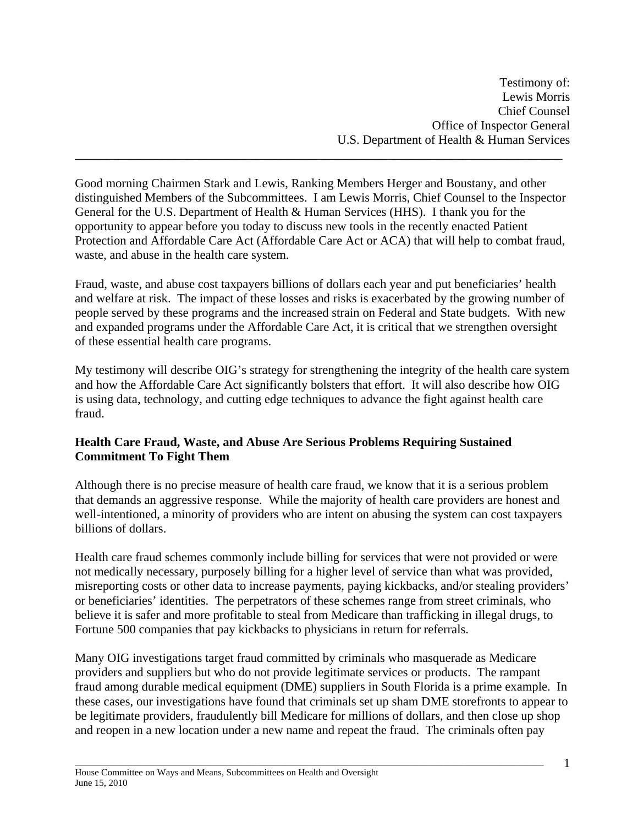Testimony of: Lewis Morris Chief Counsel Office of Inspector General U.S. Department of Health & Human Services

Good morning Chairmen Stark and Lewis, Ranking Members Herger and Boustany, and other distinguished Members of the Subcommittees. I am Lewis Morris, Chief Counsel to the Inspector General for the U.S. Department of Health & Human Services (HHS). I thank you for the opportunity to appear before you today to discuss new tools in the recently enacted Patient Protection and Affordable Care Act (Affordable Care Act or ACA) that will help to combat fraud, waste, and abuse in the health care system.

\_\_\_\_\_\_\_\_\_\_\_\_\_\_\_\_\_\_\_\_\_\_\_\_\_\_\_\_\_\_\_\_\_\_\_\_\_\_\_\_\_\_\_\_\_\_\_\_\_\_\_\_\_\_\_\_\_\_\_\_\_\_\_\_\_\_\_\_\_\_\_\_\_\_\_\_\_\_

Fraud, waste, and abuse cost taxpayers billions of dollars each year and put beneficiaries' health and welfare at risk. The impact of these losses and risks is exacerbated by the growing number of people served by these programs and the increased strain on Federal and State budgets. With new and expanded programs under the Affordable Care Act, it is critical that we strengthen oversight of these essential health care programs.

My testimony will describe OIG's strategy for strengthening the integrity of the health care system and how the Affordable Care Act significantly bolsters that effort. It will also describe how OIG is using data, technology, and cutting edge techniques to advance the fight against health care fraud.

#### **Health Care Fraud, Waste, and Abuse Are Serious Problems Requiring Sustained Commitment To Fight Them**

Although there is no precise measure of health care fraud, we know that it is a serious problem that demands an aggressive response. While the majority of health care providers are honest and well-intentioned, a minority of providers who are intent on abusing the system can cost taxpayers billions of dollars.

Health care fraud schemes commonly include billing for services that were not provided or were not medically necessary, purposely billing for a higher level of service than what was provided, misreporting costs or other data to increase payments, paying kickbacks, and/or stealing providers' or beneficiaries' identities. The perpetrators of these schemes range from street criminals, who believe it is safer and more profitable to steal from Medicare than trafficking in illegal drugs, to Fortune 500 companies that pay kickbacks to physicians in return for referrals.

Many OIG investigations target fraud committed by criminals who masquerade as Medicare providers and suppliers but who do not provide legitimate services or products. The rampant fraud among durable medical equipment (DME) suppliers in South Florida is a prime example. In these cases, our investigations have found that criminals set up sham DME storefronts to appear to be legitimate providers, fraudulently bill Medicare for millions of dollars, and then close up shop and reopen in a new location under a new name and repeat the fraud. The criminals often pay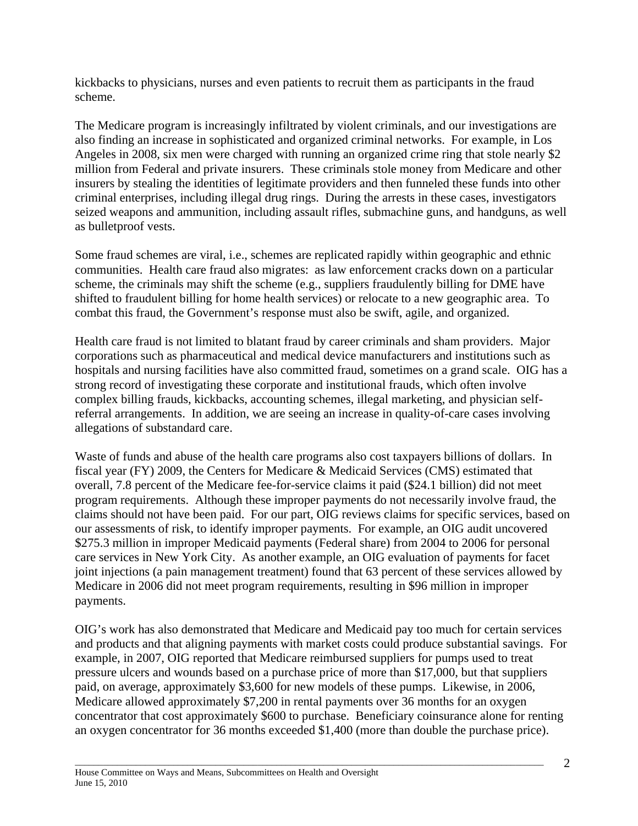kickbacks to physicians, nurses and even patients to recruit them as participants in the fraud scheme.

The Medicare program is increasingly infiltrated by violent criminals, and our investigations are also finding an increase in sophisticated and organized criminal networks. For example, in Los Angeles in 2008, six men were charged with running an organized crime ring that stole nearly \$2 million from Federal and private insurers. These criminals stole money from Medicare and other insurers by stealing the identities of legitimate providers and then funneled these funds into other criminal enterprises, including illegal drug rings. During the arrests in these cases, investigators seized weapons and ammunition, including assault rifles, submachine guns, and handguns, as well as bulletproof vests.

Some fraud schemes are viral, i.e., schemes are replicated rapidly within geographic and ethnic communities. Health care fraud also migrates: as law enforcement cracks down on a particular scheme, the criminals may shift the scheme (e.g., suppliers fraudulently billing for DME have shifted to fraudulent billing for home health services) or relocate to a new geographic area. To combat this fraud, the Government's response must also be swift, agile, and organized.

Health care fraud is not limited to blatant fraud by career criminals and sham providers. Major corporations such as pharmaceutical and medical device manufacturers and institutions such as hospitals and nursing facilities have also committed fraud, sometimes on a grand scale. OIG has a strong record of investigating these corporate and institutional frauds, which often involve complex billing frauds, kickbacks, accounting schemes, illegal marketing, and physician selfreferral arrangements. In addition, we are seeing an increase in quality-of-care cases involving allegations of substandard care.

Waste of funds and abuse of the health care programs also cost taxpayers billions of dollars. In fiscal year (FY) 2009, the Centers for Medicare & Medicaid Services (CMS) estimated that overall, 7.8 percent of the Medicare fee-for-service claims it paid (\$24.1 billion) did not meet program requirements. Although these improper payments do not necessarily involve fraud, the claims should not have been paid. For our part, OIG reviews claims for specific services, based on our assessments of risk, to identify improper payments. For example, an OIG audit uncovered \$275.3 million in improper Medicaid payments (Federal share) from 2004 to 2006 for personal care services in New York City. As another example, an OIG evaluation of payments for facet joint injections (a pain management treatment) found that 63 percent of these services allowed by Medicare in 2006 did not meet program requirements, resulting in \$96 million in improper payments.

OIG's work has also demonstrated that Medicare and Medicaid pay too much for certain services and products and that aligning payments with market costs could produce substantial savings. For example, in 2007, OIG reported that Medicare reimbursed suppliers for pumps used to treat pressure ulcers and wounds based on a purchase price of more than \$17,000, but that suppliers paid, on average, approximately \$3,600 for new models of these pumps. Likewise, in 2006, Medicare allowed approximately \$7,200 in rental payments over 36 months for an oxygen concentrator that cost approximately \$600 to purchase. Beneficiary coinsurance alone for renting an oxygen concentrator for 36 months exceeded \$1,400 (more than double the purchase price).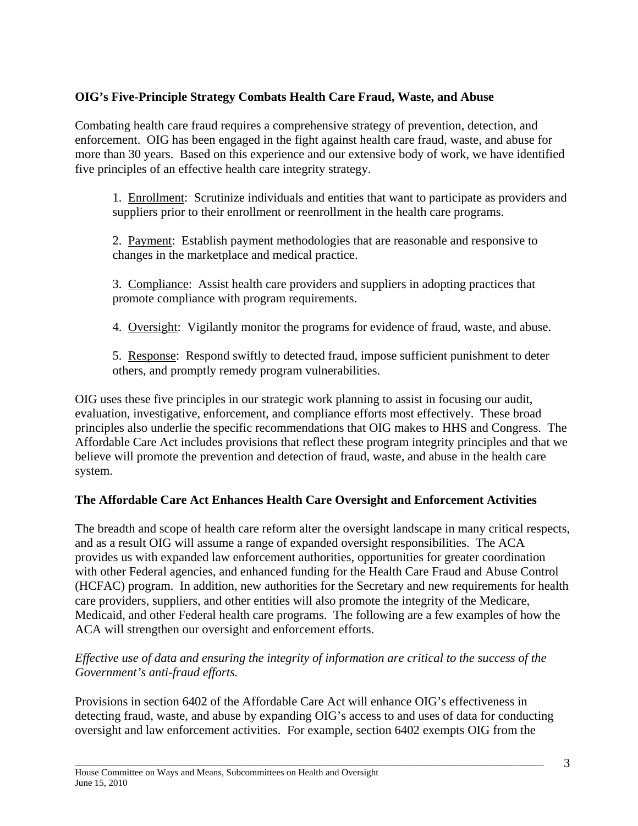# **OIG's Five-Principle Strategy Combats Health Care Fraud, Waste, and Abuse**

Combating health care fraud requires a comprehensive strategy of prevention, detection, and enforcement. OIG has been engaged in the fight against health care fraud, waste, and abuse for more than 30 years. Based on this experience and our extensive body of work, we have identified five principles of an effective health care integrity strategy.

1. Enrollment: Scrutinize individuals and entities that want to participate as providers and suppliers prior to their enrollment or reenrollment in the health care programs.

2. Payment: Establish payment methodologies that are reasonable and responsive to changes in the marketplace and medical practice.

3. Compliance: Assist health care providers and suppliers in adopting practices that promote compliance with program requirements.

4. Oversight: Vigilantly monitor the programs for evidence of fraud, waste, and abuse.

5. Response: Respond swiftly to detected fraud, impose sufficient punishment to deter others, and promptly remedy program vulnerabilities.

OIG uses these five principles in our strategic work planning to assist in focusing our audit, evaluation, investigative, enforcement, and compliance efforts most effectively. These broad principles also underlie the specific recommendations that OIG makes to HHS and Congress. The Affordable Care Act includes provisions that reflect these program integrity principles and that we believe will promote the prevention and detection of fraud, waste, and abuse in the health care system.

# **The Affordable Care Act Enhances Health Care Oversight and Enforcement Activities**

The breadth and scope of health care reform alter the oversight landscape in many critical respects, and as a result OIG will assume a range of expanded oversight responsibilities. The ACA provides us with expanded law enforcement authorities, opportunities for greater coordination with other Federal agencies, and enhanced funding for the Health Care Fraud and Abuse Control (HCFAC) program. In addition, new authorities for the Secretary and new requirements for health care providers, suppliers, and other entities will also promote the integrity of the Medicare, Medicaid, and other Federal health care programs. The following are a few examples of how the ACA will strengthen our oversight and enforcement efforts.

## *Effective use of data and ensuring the integrity of information are critical to the success of the Government's anti-fraud efforts.*

Provisions in section 6402 of the Affordable Care Act will enhance OIG's effectiveness in detecting fraud, waste, and abuse by expanding OIG's access to and uses of data for conducting oversight and law enforcement activities. For example, section 6402 exempts OIG from the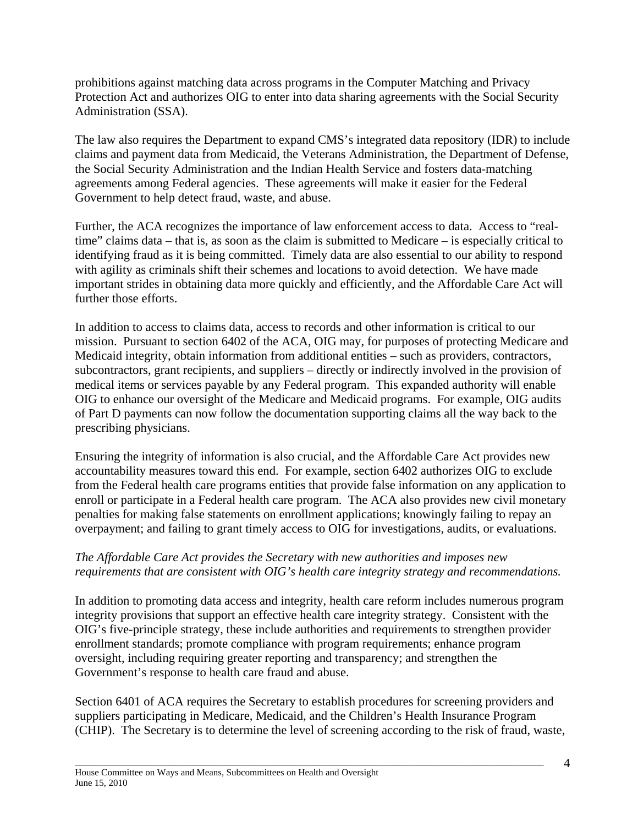prohibitions against matching data across programs in the Computer Matching and Privacy Protection Act and authorizes OIG to enter into data sharing agreements with the Social Security Administration (SSA).

The law also requires the Department to expand CMS's integrated data repository (IDR) to include claims and payment data from Medicaid, the Veterans Administration, the Department of Defense, the Social Security Administration and the Indian Health Service and fosters data-matching agreements among Federal agencies. These agreements will make it easier for the Federal Government to help detect fraud, waste, and abuse.

Further, the ACA recognizes the importance of law enforcement access to data. Access to "realtime" claims data – that is, as soon as the claim is submitted to Medicare – is especially critical to identifying fraud as it is being committed. Timely data are also essential to our ability to respond with agility as criminals shift their schemes and locations to avoid detection. We have made important strides in obtaining data more quickly and efficiently, and the Affordable Care Act will further those efforts.

In addition to access to claims data, access to records and other information is critical to our mission. Pursuant to section 6402 of the ACA, OIG may, for purposes of protecting Medicare and Medicaid integrity, obtain information from additional entities – such as providers, contractors, subcontractors, grant recipients, and suppliers – directly or indirectly involved in the provision of medical items or services payable by any Federal program. This expanded authority will enable OIG to enhance our oversight of the Medicare and Medicaid programs. For example, OIG audits of Part D payments can now follow the documentation supporting claims all the way back to the prescribing physicians.

Ensuring the integrity of information is also crucial, and the Affordable Care Act provides new accountability measures toward this end. For example, section 6402 authorizes OIG to exclude from the Federal health care programs entities that provide false information on any application to enroll or participate in a Federal health care program. The ACA also provides new civil monetary penalties for making false statements on enrollment applications; knowingly failing to repay an overpayment; and failing to grant timely access to OIG for investigations, audits, or evaluations.

## *The Affordable Care Act provides the Secretary with new authorities and imposes new requirements that are consistent with OIG's health care integrity strategy and recommendations.*

In addition to promoting data access and integrity, health care reform includes numerous program integrity provisions that support an effective health care integrity strategy. Consistent with the OIG's five-principle strategy, these include authorities and requirements to strengthen provider enrollment standards; promote compliance with program requirements; enhance program oversight, including requiring greater reporting and transparency; and strengthen the Government's response to health care fraud and abuse.

Section 6401 of ACA requires the Secretary to establish procedures for screening providers and suppliers participating in Medicare, Medicaid, and the Children's Health Insurance Program (CHIP). The Secretary is to determine the level of screening according to the risk of fraud, waste,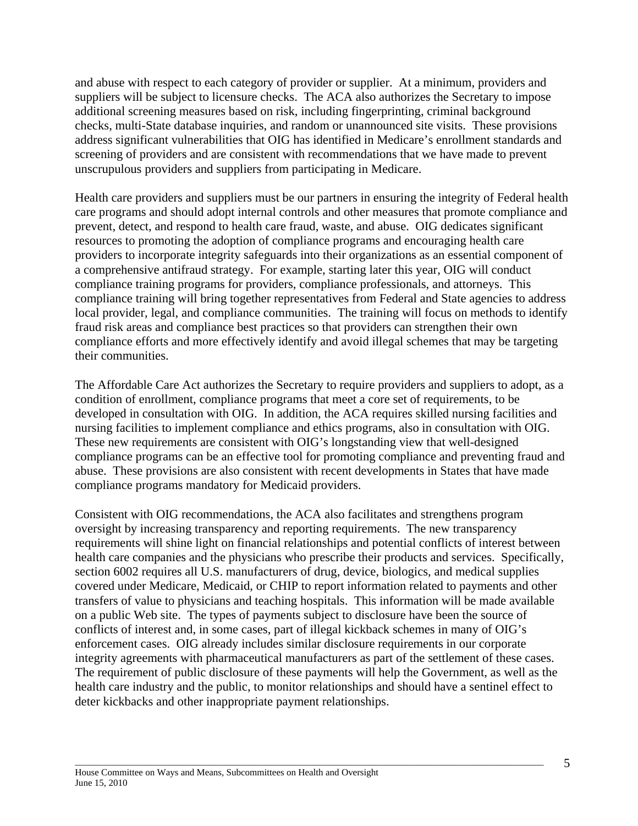and abuse with respect to each category of provider or supplier. At a minimum, providers and suppliers will be subject to licensure checks. The ACA also authorizes the Secretary to impose additional screening measures based on risk, including fingerprinting, criminal background checks, multi-State database inquiries, and random or unannounced site visits. These provisions address significant vulnerabilities that OIG has identified in Medicare's enrollment standards and screening of providers and are consistent with recommendations that we have made to prevent unscrupulous providers and suppliers from participating in Medicare.

Health care providers and suppliers must be our partners in ensuring the integrity of Federal health care programs and should adopt internal controls and other measures that promote compliance and prevent, detect, and respond to health care fraud, waste, and abuse. OIG dedicates significant resources to promoting the adoption of compliance programs and encouraging health care providers to incorporate integrity safeguards into their organizations as an essential component of a comprehensive antifraud strategy. For example, starting later this year, OIG will conduct compliance training programs for providers, compliance professionals, and attorneys. This compliance training will bring together representatives from Federal and State agencies to address local provider, legal, and compliance communities. The training will focus on methods to identify fraud risk areas and compliance best practices so that providers can strengthen their own compliance efforts and more effectively identify and avoid illegal schemes that may be targeting their communities.

The Affordable Care Act authorizes the Secretary to require providers and suppliers to adopt, as a condition of enrollment, compliance programs that meet a core set of requirements, to be developed in consultation with OIG. In addition, the ACA requires skilled nursing facilities and nursing facilities to implement compliance and ethics programs, also in consultation with OIG. These new requirements are consistent with OIG's longstanding view that well-designed compliance programs can be an effective tool for promoting compliance and preventing fraud and abuse. These provisions are also consistent with recent developments in States that have made compliance programs mandatory for Medicaid providers.

Consistent with OIG recommendations, the ACA also facilitates and strengthens program oversight by increasing transparency and reporting requirements. The new transparency requirements will shine light on financial relationships and potential conflicts of interest between health care companies and the physicians who prescribe their products and services. Specifically, section 6002 requires all U.S. manufacturers of drug, device, biologics, and medical supplies covered under Medicare, Medicaid, or CHIP to report information related to payments and other transfers of value to physicians and teaching hospitals. This information will be made available on a public Web site. The types of payments subject to disclosure have been the source of conflicts of interest and, in some cases, part of illegal kickback schemes in many of OIG's enforcement cases. OIG already includes similar disclosure requirements in our corporate integrity agreements with pharmaceutical manufacturers as part of the settlement of these cases. The requirement of public disclosure of these payments will help the Government, as well as the health care industry and the public, to monitor relationships and should have a sentinel effect to deter kickbacks and other inappropriate payment relationships.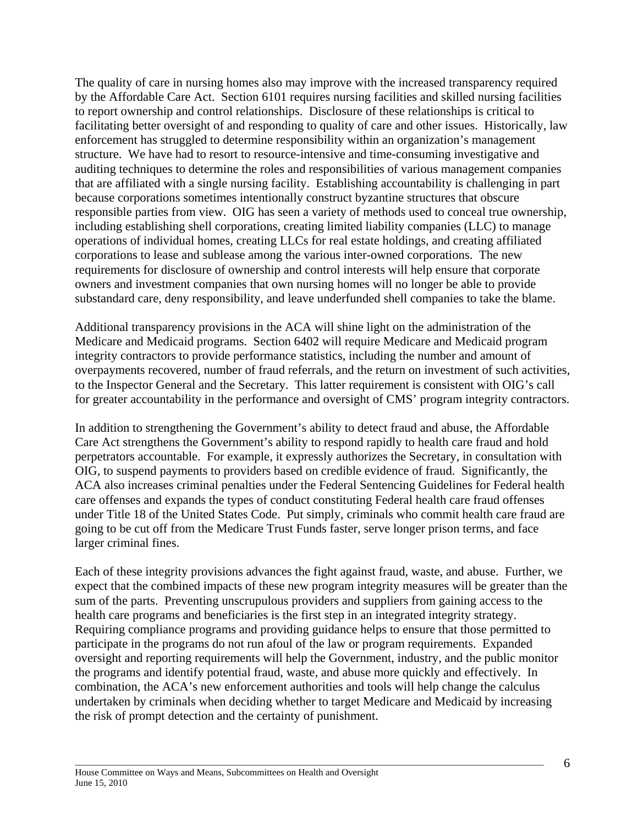The quality of care in nursing homes also may improve with the increased transparency required by the Affordable Care Act. Section 6101 requires nursing facilities and skilled nursing facilities to report ownership and control relationships. Disclosure of these relationships is critical to facilitating better oversight of and responding to quality of care and other issues. Historically, law enforcement has struggled to determine responsibility within an organization's management structure. We have had to resort to resource-intensive and time-consuming investigative and auditing techniques to determine the roles and responsibilities of various management companies that are affiliated with a single nursing facility. Establishing accountability is challenging in part because corporations sometimes intentionally construct byzantine structures that obscure responsible parties from view. OIG has seen a variety of methods used to conceal true ownership, including establishing shell corporations, creating limited liability companies (LLC) to manage operations of individual homes, creating LLCs for real estate holdings, and creating affiliated corporations to lease and sublease among the various inter-owned corporations. The new requirements for disclosure of ownership and control interests will help ensure that corporate owners and investment companies that own nursing homes will no longer be able to provide substandard care, deny responsibility, and leave underfunded shell companies to take the blame.

Additional transparency provisions in the ACA will shine light on the administration of the Medicare and Medicaid programs. Section 6402 will require Medicare and Medicaid program integrity contractors to provide performance statistics, including the number and amount of overpayments recovered, number of fraud referrals, and the return on investment of such activities, to the Inspector General and the Secretary. This latter requirement is consistent with OIG's call for greater accountability in the performance and oversight of CMS' program integrity contractors.

In addition to strengthening the Government's ability to detect fraud and abuse, the Affordable Care Act strengthens the Government's ability to respond rapidly to health care fraud and hold perpetrators accountable. For example, it expressly authorizes the Secretary, in consultation with OIG, to suspend payments to providers based on credible evidence of fraud. Significantly, the ACA also increases criminal penalties under the Federal Sentencing Guidelines for Federal health care offenses and expands the types of conduct constituting Federal health care fraud offenses under Title 18 of the United States Code. Put simply, criminals who commit health care fraud are going to be cut off from the Medicare Trust Funds faster, serve longer prison terms, and face larger criminal fines.

Each of these integrity provisions advances the fight against fraud, waste, and abuse. Further, we expect that the combined impacts of these new program integrity measures will be greater than the sum of the parts. Preventing unscrupulous providers and suppliers from gaining access to the health care programs and beneficiaries is the first step in an integrated integrity strategy. Requiring compliance programs and providing guidance helps to ensure that those permitted to participate in the programs do not run afoul of the law or program requirements. Expanded oversight and reporting requirements will help the Government, industry, and the public monitor the programs and identify potential fraud, waste, and abuse more quickly and effectively. In combination, the ACA's new enforcement authorities and tools will help change the calculus undertaken by criminals when deciding whether to target Medicare and Medicaid by increasing the risk of prompt detection and the certainty of punishment.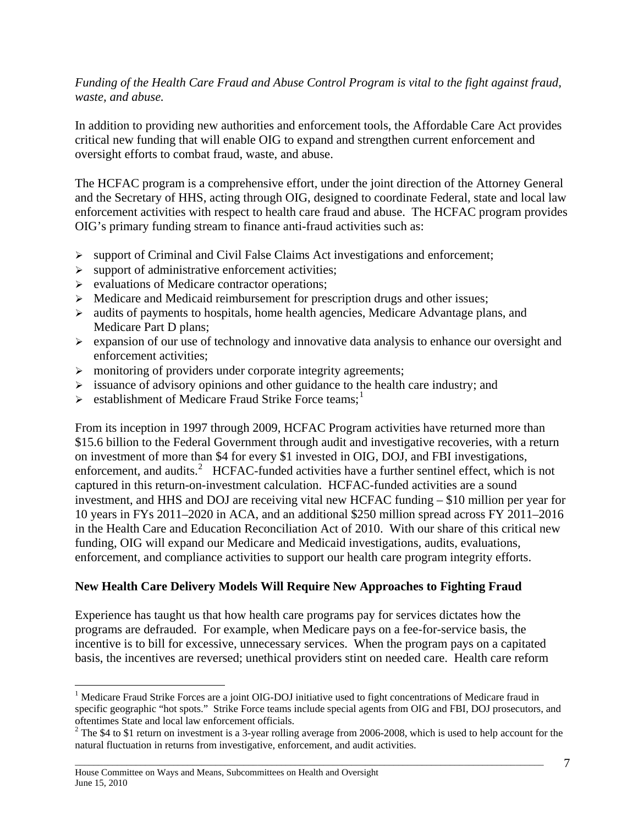#### *Funding of the Health Care Fraud and Abuse Control Program is vital to the fight against fraud, waste, and abuse.*

In addition to providing new authorities and enforcement tools, the Affordable Care Act provides critical new funding that will enable OIG to expand and strengthen current enforcement and oversight efforts to combat fraud, waste, and abuse.

The HCFAC program is a comprehensive effort, under the joint direction of the Attorney General and the Secretary of HHS, acting through OIG, designed to coordinate Federal, state and local law enforcement activities with respect to health care fraud and abuse. The HCFAC program provides OIG's primary funding stream to finance anti-fraud activities such as:

- $\triangleright$  support of Criminal and Civil False Claims Act investigations and enforcement;
- $\triangleright$  support of administrative enforcement activities;
- $\triangleright$  evaluations of Medicare contractor operations;
- $\triangleright$  Medicare and Medicaid reimbursement for prescription drugs and other issues;
- $\triangleright$  audits of payments to hospitals, home health agencies, Medicare Advantage plans, and Medicare Part D plans;
- $\triangleright$  expansion of our use of technology and innovative data analysis to enhance our oversight and enforcement activities;
- $\triangleright$  monitoring of providers under corporate integrity agreements;
- $\geq$  issuance of advisory opinions and other guidance to the health care industry; and
- $\triangleright$  establishment of Medicare Fraud Strike Force teams;<sup>[1](#page-6-0)</sup>

From its inception in 1997 through 2009, HCFAC Program activities have returned more than \$15.6 billion to the Federal Government through audit and investigative recoveries, with a return on investment of more than \$4 for every \$1 invested in OIG, DOJ, and FBI investigations, enforcement, and audits.<sup>[2](#page-6-1)</sup> HCFAC-funded activities have a further sentinel effect, which is not captured in this return-on-investment calculation. HCFAC-funded activities are a sound investment, and HHS and DOJ are receiving vital new HCFAC funding – \$10 million per year for 10 years in FYs 2011–2020 in ACA, and an additional \$250 million spread across FY 2011–2016 in the Health Care and Education Reconciliation Act of 2010. With our share of this critical new funding, OIG will expand our Medicare and Medicaid investigations, audits, evaluations, enforcement, and compliance activities to support our health care program integrity efforts.

# **New Health Care Delivery Models Will Require New Approaches to Fighting Fraud**

Experience has taught us that how health care programs pay for services dictates how the programs are defrauded. For example, when Medicare pays on a fee-for-service basis, the incentive is to bill for excessive, unnecessary services. When the program pays on a capitated basis, the incentives are reversed; unethical providers stint on needed care. Health care reform

1

<span id="page-6-0"></span><sup>&</sup>lt;sup>1</sup> Medicare Fraud Strike Forces are a joint OIG-DOJ initiative used to fight concentrations of Medicare fraud in specific geographic "hot spots." Strike Force teams include special agents from OIG and FBI, DOJ prosecutors, and oftentimes State and local law enforcement officials. 2

<span id="page-6-1"></span> $2$  The \$4 to \$1 return on investment is a 3-year rolling average from 2006-2008, which is used to help account for the natural fluctuation in returns from investigative, enforcement, and audit activities.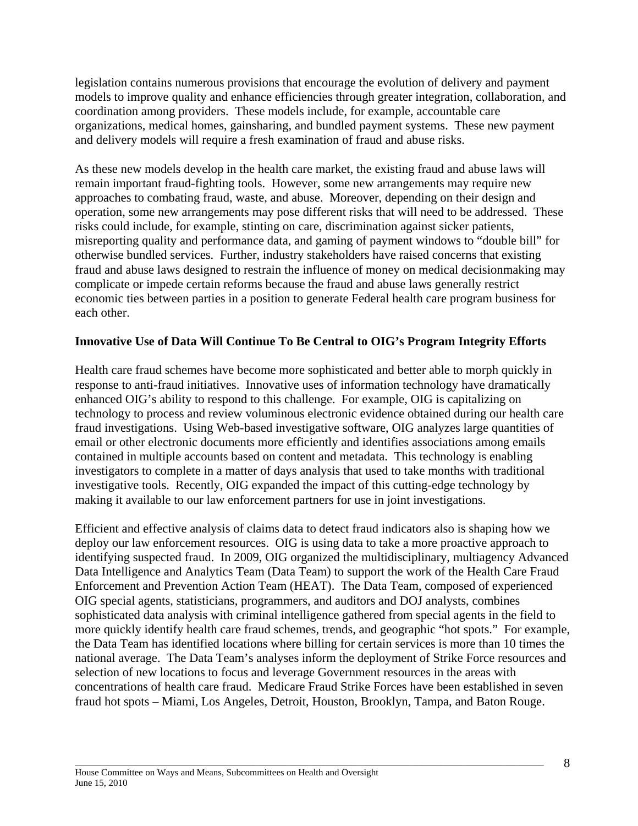legislation contains numerous provisions that encourage the evolution of delivery and payment models to improve quality and enhance efficiencies through greater integration, collaboration, and coordination among providers. These models include, for example, accountable care organizations, medical homes, gainsharing, and bundled payment systems. These new payment and delivery models will require a fresh examination of fraud and abuse risks.

As these new models develop in the health care market, the existing fraud and abuse laws will remain important fraud-fighting tools. However, some new arrangements may require new approaches to combating fraud, waste, and abuse. Moreover, depending on their design and operation, some new arrangements may pose different risks that will need to be addressed. These risks could include, for example, stinting on care, discrimination against sicker patients, misreporting quality and performance data, and gaming of payment windows to "double bill" for otherwise bundled services. Further, industry stakeholders have raised concerns that existing fraud and abuse laws designed to restrain the influence of money on medical decisionmaking may complicate or impede certain reforms because the fraud and abuse laws generally restrict economic ties between parties in a position to generate Federal health care program business for each other.

## **Innovative Use of Data Will Continue To Be Central to OIG's Program Integrity Efforts**

Health care fraud schemes have become more sophisticated and better able to morph quickly in response to anti-fraud initiatives. Innovative uses of information technology have dramatically enhanced OIG's ability to respond to this challenge. For example, OIG is capitalizing on technology to process and review voluminous electronic evidence obtained during our health care fraud investigations. Using Web-based investigative software, OIG analyzes large quantities of email or other electronic documents more efficiently and identifies associations among emails contained in multiple accounts based on content and metadata. This technology is enabling investigators to complete in a matter of days analysis that used to take months with traditional investigative tools. Recently, OIG expanded the impact of this cutting-edge technology by making it available to our law enforcement partners for use in joint investigations.

Efficient and effective analysis of claims data to detect fraud indicators also is shaping how we deploy our law enforcement resources. OIG is using data to take a more proactive approach to identifying suspected fraud. In 2009, OIG organized the multidisciplinary, multiagency Advanced Data Intelligence and Analytics Team (Data Team) to support the work of the Health Care Fraud Enforcement and Prevention Action Team (HEAT). The Data Team, composed of experienced OIG special agents, statisticians, programmers, and auditors and DOJ analysts, combines sophisticated data analysis with criminal intelligence gathered from special agents in the field to more quickly identify health care fraud schemes, trends, and geographic "hot spots." For example, the Data Team has identified locations where billing for certain services is more than 10 times the national average. The Data Team's analyses inform the deployment of Strike Force resources and selection of new locations to focus and leverage Government resources in the areas with concentrations of health care fraud. Medicare Fraud Strike Forces have been established in seven fraud hot spots – Miami, Los Angeles, Detroit, Houston, Brooklyn, Tampa, and Baton Rouge.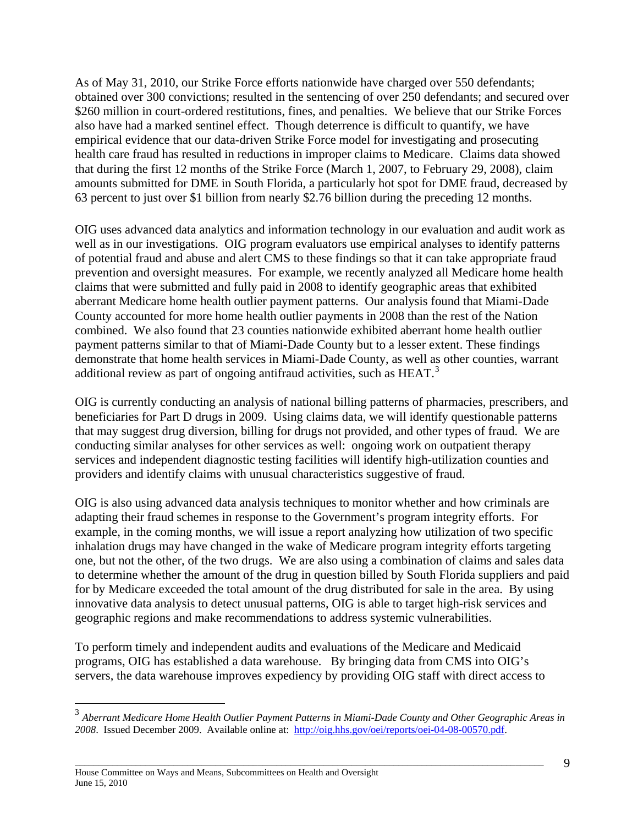As of May 31, 2010, our Strike Force efforts nationwide have charged over 550 defendants; obtained over 300 convictions; resulted in the sentencing of over 250 defendants; and secured over \$260 million in court-ordered restitutions, fines, and penalties. We believe that our Strike Forces also have had a marked sentinel effect. Though deterrence is difficult to quantify, we have empirical evidence that our data-driven Strike Force model for investigating and prosecuting health care fraud has resulted in reductions in improper claims to Medicare. Claims data showed that during the first 12 months of the Strike Force (March 1, 2007, to February 29, 2008), claim amounts submitted for DME in South Florida, a particularly hot spot for DME fraud, decreased by 63 percent to just over \$1 billion from nearly \$2.76 billion during the preceding 12 months.

OIG uses advanced data analytics and information technology in our evaluation and audit work as well as in our investigations. OIG program evaluators use empirical analyses to identify patterns of potential fraud and abuse and alert CMS to these findings so that it can take appropriate fraud prevention and oversight measures. For example, we recently analyzed all Medicare home health claims that were submitted and fully paid in 2008 to identify geographic areas that exhibited aberrant Medicare home health outlier payment patterns. Our analysis found that Miami-Dade County accounted for more home health outlier payments in 2008 than the rest of the Nation combined. We also found that 23 counties nationwide exhibited aberrant home health outlier payment patterns similar to that of Miami-Dade County but to a lesser extent. These findings demonstrate that home health services in Miami-Dade County, as well as other counties, warrant additional review as part of ongoing antifraud activities, such as HEAT.<sup>[3](#page-8-0)</sup>

OIG is currently conducting an analysis of national billing patterns of pharmacies, prescribers, and beneficiaries for Part D drugs in 2009. Using claims data, we will identify questionable patterns that may suggest drug diversion, billing for drugs not provided, and other types of fraud. We are conducting similar analyses for other services as well: ongoing work on outpatient therapy services and independent diagnostic testing facilities will identify high-utilization counties and providers and identify claims with unusual characteristics suggestive of fraud.

OIG is also using advanced data analysis techniques to monitor whether and how criminals are adapting their fraud schemes in response to the Government's program integrity efforts. For example, in the coming months, we will issue a report analyzing how utilization of two specific inhalation drugs may have changed in the wake of Medicare program integrity efforts targeting one, but not the other, of the two drugs. We are also using a combination of claims and sales data to determine whether the amount of the drug in question billed by South Florida suppliers and paid for by Medicare exceeded the total amount of the drug distributed for sale in the area. By using innovative data analysis to detect unusual patterns, OIG is able to target high-risk services and geographic regions and make recommendations to address systemic vulnerabilities.

To perform timely and independent audits and evaluations of the Medicare and Medicaid programs, OIG has established a data warehouse. By bringing data from CMS into OIG's servers, the data warehouse improves expediency by providing OIG staff with direct access to

 $\overline{a}$ 

<span id="page-8-0"></span><sup>3</sup> *Aberrant Medicare Home Health Outlier Payment Patterns in Miami-Dade County and Other Geographic Areas in 2008*. Issued December 2009. Available online at: <http://oig.hhs.gov/oei/reports/oei-04-08-00570.pdf>.